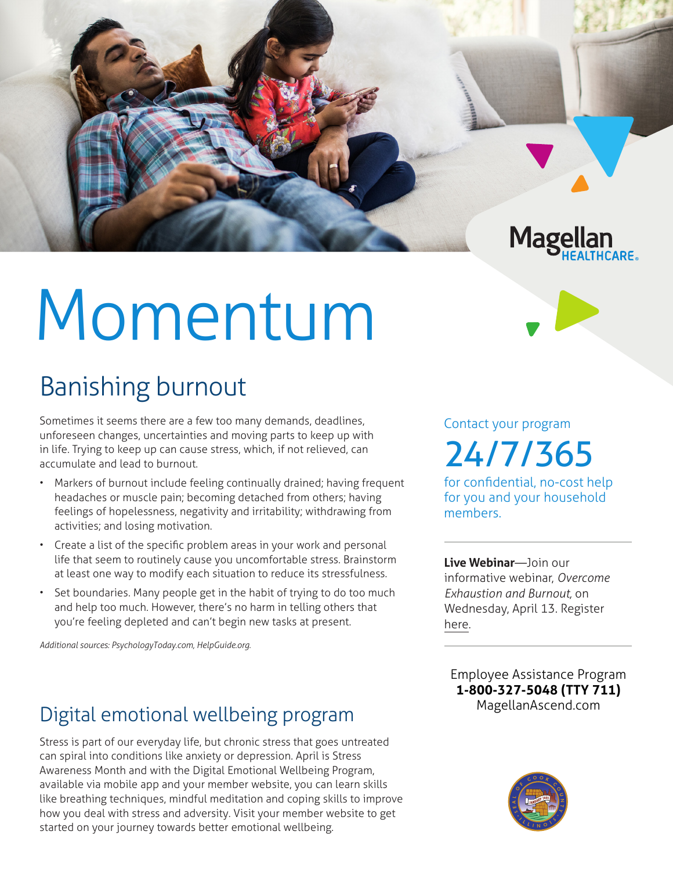# Momentum

## Banishing burnout

Sometimes it seems there are a few too many demands, deadlines, unforeseen changes, uncertainties and moving parts to keep up with in life. Trying to keep up can cause stress, which, if not relieved, can accumulate and lead to burnout.

- Markers of burnout include feeling continually drained; having frequent headaches or muscle pain; becoming detached from others; having feelings of hopelessness, negativity and irritability; withdrawing from activities; and losing motivation.
- Create a list of the specific problem areas in your work and personal life that seem to routinely cause you uncomfortable stress. Brainstorm at least one way to modify each situation to reduce its stressfulness.
- Set boundaries. Many people get in the habit of trying to do too much and help too much. However, there's no harm in telling others that you're feeling depleted and can't begin new tasks at present.

*Additional sources: PsychologyToday.com, HelpGuide.org.*

### Digital emotional wellbeing program

Stress is part of our everyday life, but chronic stress that goes untreated can spiral into conditions like anxiety or depression. April is Stress Awareness Month and with the Digital Emotional Wellbeing Program, available via mobile app and your member website, you can learn skills like breathing techniques, mindful meditation and coping skills to improve how you deal with stress and adversity. Visit your member website to get started on your journey towards better emotional wellbeing.

Contact your program 24/7/365

**Magellan** 

for confidential, no-cost help for you and your household members.

**Live Webinar**—Join our informative webinar, *Overcome Exhaustion and Burnout,* on Wednesday, April 13. Register [here](https://events-na4.adobeconnect.com/content/connect/c1/825364167/en/events/event/shared/default_template_simple/event_registration.html?sco-id=2291194688&_charset_=utf-8).

**Employee Assistance Program 1-800-327-5048 (TTY 711) MagellanAscend.com**